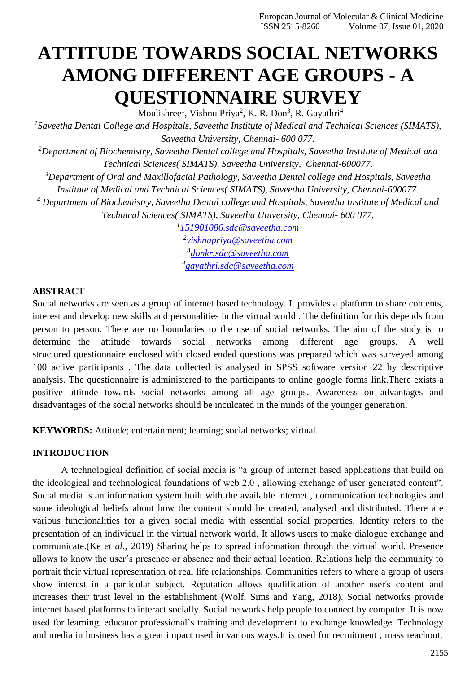# **ATTITUDE TOWARDS SOCIAL NETWORKS AMONG DIFFERENT AGE GROUPS - A QUESTIONNAIRE SURVEY**

Moulishree<sup>1</sup>, Vishnu Priya<sup>2</sup>, K. R. Don<sup>3</sup>, R. Gayathri<sup>4</sup> *1 Saveetha Dental College and Hospitals, Saveetha Institute of Medical and Technical Sciences (SIMATS), Saveetha University, Chennai- 600 077. <sup>2</sup>Department of Biochemistry, Saveetha Dental college and Hospitals, Saveetha Institute of Medical and Technical Sciences( SIMATS), Saveetha University, Chennai-600077. <sup>3</sup>Department of Oral and Maxillofacial Pathology, Saveetha Dental college and Hospitals, Saveetha Institute of Medical and Technical Sciences( SIMATS), Saveetha University, Chennai-600077. <sup>4</sup> Department of Biochemistry, Saveetha Dental college and Hospitals, Saveetha Institute of Medical and Technical Sciences( SIMATS), Saveetha University, Chennai- 600 077. 1 [151901086.sdc@saveetha.com](mailto:151901086.sdc@saveetha.com)*

*2 [vishnupriya@saveetha.com](mailto:vishnupriya@saveetha.com) 3 [donkr.sdc@saveetha.com](mailto:donkr.sdc@saveetha.com) 4 [gayathri.sdc@saveetha.com](mailto:gayathri.sdc@saveetha.com)*

# **ABSTRACT**

Social networks are seen as a group of internet based technology. It provides a platform to share contents, interest and develop new skills and personalities in the virtual world . The definition for this depends from person to person. There are no boundaries to the use of social networks. The aim of the study is to determine the attitude towards social networks among different age groups. A well structured questionnaire enclosed with closed ended questions was prepared which was surveyed among 100 active participants . The data collected is analysed in SPSS software version 22 by descriptive analysis. The questionnaire is administered to the participants to online google forms link.There exists a positive attitude towards social networks among all age groups. Awareness on advantages and disadvantages of the social networks should be inculcated in the minds of the younger generation.

**KEYWORDS:** Attitude; entertainment; learning; social networks; virtual.

# **INTRODUCTION**

A technological definition of social media is "a group of internet based applications that build on the ideological and technological foundations of web 2.0 , allowing exchange of user generated content". Social media is an information system built with the available internet , communication technologies and some ideological beliefs about how the content should be created, analysed and distributed. There are various functionalities for a given social media with essential social properties. Identity refers to the presentation of an individual in the virtual network world. It allows users to make dialogue exchange and communicate.(Ke *et al.*[, 2019\)](https://paperpile.com/c/unGqdE/2fgD) Sharing helps to spread information through the virtual world. Presence allows to know the user's presence or absence and their actual location. Relations help the community to portrait their virtual representation of real life relationships. Communities refers to where a group of users show interest in a particular subject. Reputation allows qualification of another user's content and increases their trust level in the establishment [\(Wolf, Sims and Yang, 2018\).](https://paperpile.com/c/unGqdE/fJvM) Social networks provide internet based platforms to interact socially. Social networks help people to connect by computer. It is now used for learning, educator professional's training and development to exchange knowledge. Technology and media in business has a great impact used in various ways.It is used for recruitment , mass reachout,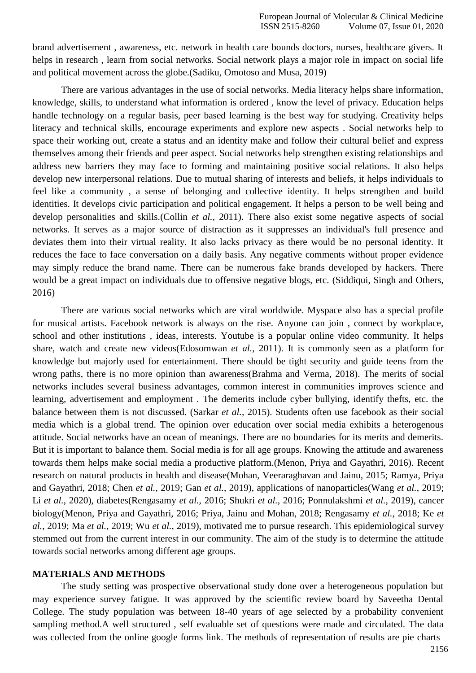brand advertisement , awareness, etc. network in health care bounds doctors, nurses, healthcare givers. It helps in research , learn from social networks. Social network plays a major role in impact on social life and political movement across the globe[.\(Sadiku, Omotoso and Musa, 2019\)](https://paperpile.com/c/unGqdE/HZ2m)

There are various advantages in the use of social networks. Media literacy helps share information, knowledge, skills, to understand what information is ordered , know the level of privacy. Education helps handle technology on a regular basis, peer based learning is the best way for studying. Creativity helps literacy and technical skills, encourage experiments and explore new aspects . Social networks help to space their working out, create a status and an identity make and follow their cultural belief and express themselves among their friends and peer aspect. Social networks help strengthen existing relationships and address new barriers they may face to forming and maintaining positive social relations. It also helps develop new interpersonal relations. Due to mutual sharing of interests and beliefs, it helps individuals to feel like a community , a sense of belonging and collective identity. It helps strengthen and build identities. It develops civic participation and political engagement. It helps a person to be well being and develop personalities and skills[.\(Collin](https://paperpile.com/c/unGqdE/QyA3) *et al.*, 2011). There also exist some negative aspects of social networks. It serves as a major source of distraction as it suppresses an individual's full presence and deviates them into their virtual reality. It also lacks privacy as there would be no personal identity. It reduces the face to face conversation on a daily basis. Any negative comments without proper evidence may simply reduce the brand name. There can be numerous fake brands developed by hackers. There would be a great impact on individuals due to offensive negative blogs, etc. [\(Siddiqui, Singh and Others,](https://paperpile.com/c/unGqdE/0UwR) [2016\)](https://paperpile.com/c/unGqdE/0UwR)

There are various social networks which are viral worldwide. Myspace also has a special profile for musical artists. Facebook network is always on the rise. Anyone can join , connect by workplace, school and other institutions , ideas, interests. Youtube is a popular online video community. It helps share, watch and create new video[s\(Edosomwan](https://paperpile.com/c/unGqdE/SZ2U) *et al.*, 2011). It is commonly seen as a platform for knowledge but majorly used for entertainment. There should be tight security and guide teens from the wrong paths, there is no more opinion than awarenes[s\(Brahma and Verma, 2018\).](https://paperpile.com/c/unGqdE/7NWZ) The merits of social networks includes several business advantages, common interest in communities improves science and learning, advertisement and employment . The demerits include cyber bullying, identify thefts, etc. the balance between them is not discussed. [\(Sarkar](https://paperpile.com/c/unGqdE/4Ye8) *et al.*, 2015). Students often use facebook as their social media which is a global trend. The opinion over education over social media exhibits a heterogenous attitude. Social networks have an ocean of meanings. There are no boundaries for its merits and demerits. But it is important to balance them. Social media is for all age groups. Knowing the attitude and awareness towards them helps make social media a productive platform[.\(Menon, Priya and Gayathri, 2016\). R](https://paperpile.com/c/unGqdE/cIx1)ecent research on natural products in health and diseas[e\(Mohan, Veeraraghavan and Jainu, 2015; Ramya, Priya](https://paperpile.com/c/unGqdE/LpRs%2B5SnZ%2BygAZ%2BqIBG) [and Gayathri, 2018; Chen](https://paperpile.com/c/unGqdE/LpRs%2B5SnZ%2BygAZ%2BqIBG) *et al.*, 2019; Gan *et al.*, 2019), applications of nanoparticle[s\(Wang](https://paperpile.com/c/unGqdE/YMhP%2Bd9DS) *et al.*, 2019; Li *et al.*[, 2020\), d](https://paperpile.com/c/unGqdE/YMhP%2Bd9DS)iabetes(Rengasamy *et al.*[, 2016; Shukri](https://paperpile.com/c/unGqdE/3yrg%2BO2nX%2BIXhy) *et al.*, 2016; Ponnulakshmi *et al.*, 2019), cancer biolog[y\(Menon, Priya and Gayathri, 2016; Priya, Jainu and Mohan, 2018; Rengasamy](https://paperpile.com/c/unGqdE/Ya7w%2B2fgD%2Ba71l%2BZhjD%2BcIx1%2BPNO5) *et al.*, 2018; Ke *et al.*, 2019; Ma *et al.*[, 2019; Wu](https://paperpile.com/c/unGqdE/Ya7w%2B2fgD%2Ba71l%2BZhjD%2BcIx1%2BPNO5) *et al.*, 2019), motivated me to pursue research. This epidemiological survey stemmed out from the current interest in our community. The aim of the study is to determine the attitude towards social networks among different age groups.

#### **MATERIALS AND METHODS**

The study setting was prospective observational study done over a heterogeneous population but may experience survey fatigue. It was approved by the scientific review board by Saveetha Dental College. The study population was between 18-40 years of age selected by a probability convenient sampling method.A well structured , self evaluable set of questions were made and circulated. The data was collected from the online google forms link. The methods of representation of results are pie charts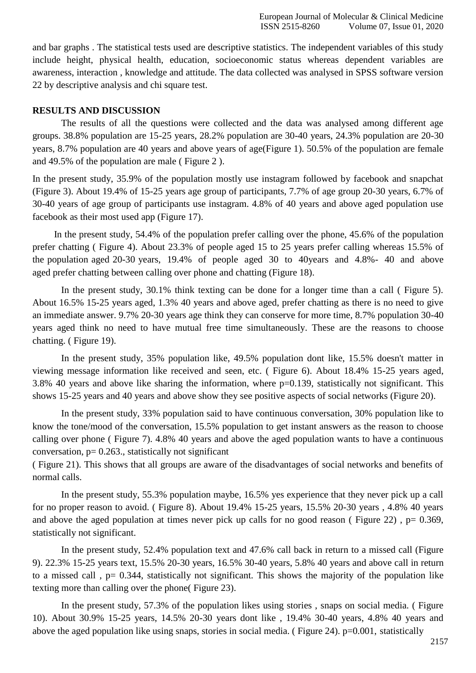and bar graphs . The statistical tests used are descriptive statistics. The independent variables of this study include height, physical health, education, socioeconomic status whereas dependent variables are awareness, interaction , knowledge and attitude. The data collected was analysed in SPSS software version 22 by descriptive analysis and chi square test.

#### **RESULTS AND DISCUSSION**

The results of all the questions were collected and the data was analysed among different age groups. 38.8% population are 15-25 years, 28.2% population are 30-40 years, 24.3% population are 20-30 years, 8.7% population are 40 years and above years of age(Figure 1). 50.5% of the population are female and 49.5% of the population are male ( Figure 2 ).

In the present study, 35.9% of the population mostly use instagram followed by facebook and snapchat (Figure 3). About 19.4% of 15-25 years age group of participants, 7.7% of age group 20-30 years, 6.7% of 30-40 years of age group of participants use instagram. 4.8% of 40 years and above aged population use facebook as their most used app (Figure 17).

In the present study, 54.4% of the population prefer calling over the phone, 45.6% of the population prefer chatting ( Figure 4). About 23.3% of people aged 15 to 25 years prefer calling whereas 15.5% of the population aged 20-30 years, 19.4% of people aged 30 to 40years and 4.8%- 40 and above aged prefer chatting between calling over phone and chatting (Figure 18).

In the present study, 30.1% think texting can be done for a longer time than a call ( Figure 5). About 16.5% 15-25 years aged, 1.3% 40 years and above aged, prefer chatting as there is no need to give an immediate answer. 9.7% 20-30 years age think they can conserve for more time, 8.7% population 30-40 years aged think no need to have mutual free time simultaneously. These are the reasons to choose chatting. ( Figure 19).

In the present study, 35% population like, 49.5% population dont like, 15.5% doesn't matter in viewing message information like received and seen, etc. ( Figure 6). About 18.4% 15-25 years aged, 3.8% 40 years and above like sharing the information, where p=0.139, statistically not significant. This shows 15-25 years and 40 years and above show they see positive aspects of social networks (Figure 20).

In the present study, 33% population said to have continuous conversation, 30% population like to know the tone/mood of the conversation, 15.5% population to get instant answers as the reason to choose calling over phone ( Figure 7). 4.8% 40 years and above the aged population wants to have a continuous conversation,  $p= 0.263$ ., statistically not significant

( Figure 21). This shows that all groups are aware of the disadvantages of social networks and benefits of normal calls.

In the present study, 55.3% population maybe, 16.5% yes experience that they never pick up a call for no proper reason to avoid. ( Figure 8). About 19.4% 15-25 years, 15.5% 20-30 years , 4.8% 40 years and above the aged population at times never pick up calls for no good reason (Figure 22),  $p= 0.369$ , statistically not significant.

In the present study, 52.4% population text and 47.6% call back in return to a missed call (Figure 9). 22.3% 15-25 years text, 15.5% 20-30 years, 16.5% 30-40 years, 5.8% 40 years and above call in return to a missed call,  $p = 0.344$ , statistically not significant. This shows the majority of the population like texting more than calling over the phone( Figure 23).

In the present study, 57.3% of the population likes using stories , snaps on social media. ( Figure 10). About 30.9% 15-25 years, 14.5% 20-30 years dont like , 19.4% 30-40 years, 4.8% 40 years and above the aged population like using snaps, stories in social media. ( Figure 24). p=0.001, statistically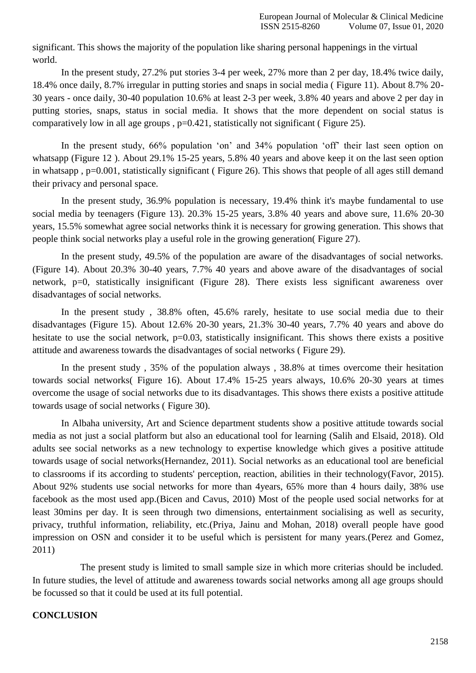significant. This shows the majority of the population like sharing personal happenings in the virtual world.

In the present study, 27.2% put stories 3-4 per week, 27% more than 2 per day, 18.4% twice daily, 18.4% once daily, 8.7% irregular in putting stories and snaps in social media ( Figure 11). About 8.7% 20- 30 years - once daily, 30-40 population 10.6% at least 2-3 per week, 3.8% 40 years and above 2 per day in putting stories, snaps, status in social media. It shows that the more dependent on social status is comparatively low in all age groups , p=0.421, statistically not significant ( Figure 25).

In the present study, 66% population 'on' and 34% population 'off' their last seen option on whatsapp (Figure 12 ). About 29.1% 15-25 years, 5.8% 40 years and above keep it on the last seen option in whatsapp , p=0.001, statistically significant ( Figure 26). This shows that people of all ages still demand their privacy and personal space.

In the present study, 36.9% population is necessary, 19.4% think it's maybe fundamental to use social media by teenagers (Figure 13). 20.3% 15-25 years, 3.8% 40 years and above sure, 11.6% 20-30 years, 15.5% somewhat agree social networks think it is necessary for growing generation. This shows that people think social networks play a useful role in the growing generation( Figure 27).

In the present study, 49.5% of the population are aware of the disadvantages of social networks. (Figure 14). About 20.3% 30-40 years, 7.7% 40 years and above aware of the disadvantages of social network, p=0, statistically insignificant (Figure 28). There exists less significant awareness over disadvantages of social networks.

In the present study , 38.8% often, 45.6% rarely, hesitate to use social media due to their disadvantages (Figure 15). About 12.6% 20-30 years, 21.3% 30-40 years, 7.7% 40 years and above do hesitate to use the social network,  $p=0.03$ , statistically insignificant. This shows there exists a positive attitude and awareness towards the disadvantages of social networks ( Figure 29).

In the present study , 35% of the population always , 38.8% at times overcome their hesitation towards social networks( Figure 16). About 17.4% 15-25 years always, 10.6% 20-30 years at times overcome the usage of social networks due to its disadvantages. This shows there exists a positive attitude towards usage of social networks ( Figure 30).

In Albaha university, Art and Science department students show a positive attitude towards social media as not just a social platform but also an educational tool for learning [\(Salih and Elsaid, 2018\).](https://paperpile.com/c/unGqdE/Hc7C) Old adults see social networks as a new technology to expertise knowledge which gives a positive attitude towards usage of social network[s\(Hernandez, 2011\). S](https://paperpile.com/c/unGqdE/rpfM)ocial networks as an educational tool are beneficial to classrooms if its according to students' perception, reaction, abilities in their technolog[y\(Favor, 2015\).](https://paperpile.com/c/unGqdE/gojU) About 92% students use social networks for more than 4years, 65% more than 4 hours daily, 38% use facebook as the most used app[.\(Bicen and Cavus, 2010\) M](https://paperpile.com/c/unGqdE/s31A)ost of the people used social networks for at least 30mins per day. It is seen through two dimensions, entertainment socialising as well as security, privacy, truthful information, reliability, etc[.\(Priya, Jainu and Mohan, 2018\)](https://paperpile.com/c/unGqdE/ZhjD) overall people have good impression on OSN and consider it to be useful which is persistent for many years[.\(Perez and Gomez,](https://paperpile.com/c/unGqdE/X6vm) [2011\)](https://paperpile.com/c/unGqdE/X6vm)

The present study is limited to small sample size in which more criterias should be included. In future studies, the level of attitude and awareness towards social networks among all age groups should be focussed so that it could be used at its full potential.

# **CONCLUSION**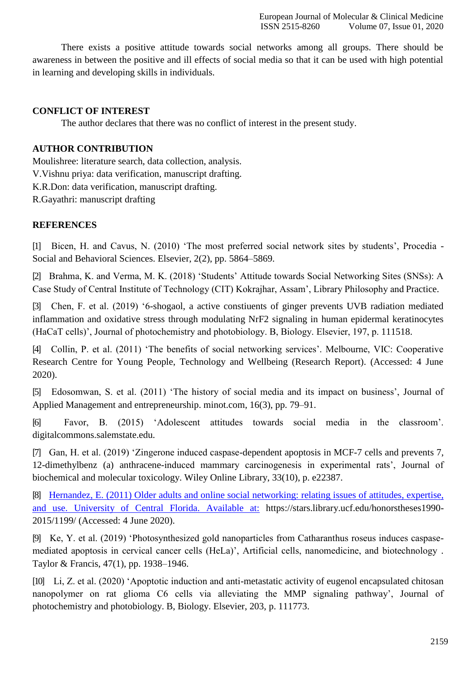There exists a positive attitude towards social networks among all groups. There should be awareness in between the positive and ill effects of social media so that it can be used with high potential in learning and developing skills in individuals.

### **CONFLICT OF INTEREST**

The author declares that there was no conflict of interest in the present study.

# **AUTHOR CONTRIBUTION**

Moulishree: literature search, data collection, analysis.

V.Vishnu priya: data verification, manuscript drafting.

K.R.Don: data verification, manuscript drafting.

R.Gayathri: manuscript drafting

# **REFERENCES**

[1] [Bicen, H. and Cavus, N. \(2010\) 'The most preferred social network sites by students', Procedia -](http://paperpile.com/b/unGqdE/s31A) [Social and Behavioral Sciences. Elsevier, 2\(2\), pp.](http://paperpile.com/b/unGqdE/s31A) 5864–5869.

[2] [Brahma, K. and Verma, M. K. \(2018\) 'Students' Attitude towards Social Networking Sites \(SNSs\): A](http://paperpile.com/b/unGqdE/7NWZ) [Case Study of Central Institute of Technology \(CIT\) Kokrajhar, Assam', Library Philosophy and](http://paperpile.com/b/unGqdE/7NWZ) Practice.

[3] [Chen, F. et al. \(2019\) '6-shogaol, a active constiuents of ginger prevents UVB radiation mediated](http://paperpile.com/b/unGqdE/LpRs) [inflammation and oxidative stress through modulating NrF2 signaling in human epidermal keratinocytes](http://paperpile.com/b/unGqdE/LpRs) [\(HaCaT cells\)', Journal of photochemistry and photobiology. B, Biology. Elsevier, 197, p.](http://paperpile.com/b/unGqdE/LpRs) 111518.

[4] [Collin, P. et al. \(2011\) 'The benefits of social networking services'. Melbourne, VIC: Cooperative](http://paperpile.com/b/unGqdE/QyA3) [Research Centre for Young People, Technology and Wellbeing \(Research Report\). \(Accessed: 4 June](http://paperpile.com/b/unGqdE/QyA3) [2020\).](http://paperpile.com/b/unGqdE/QyA3)

[5] [Edosomwan, S. et al. \(2011\) 'The history of social media and its impact on business', Journal of](http://paperpile.com/b/unGqdE/SZ2U) [Applied Management and entrepreneurship. minot.com, 16\(3\), pp.](http://paperpile.com/b/unGqdE/SZ2U) 79–91.

[6] [Favor, B. \(2015\) 'Adolescent attitudes towards social media in the classroom'.](http://paperpile.com/b/unGqdE/gojU) [digitalcommons.salemstate.edu.](http://paperpile.com/b/unGqdE/gojU)

[7] [Gan, H. et al. \(2019\) 'Zingerone induced caspase-dependent apoptosis in MCF-7 cells and prevents 7,](http://paperpile.com/b/unGqdE/5SnZ) [12-dimethylbenz \(a\) anthracene-induced mammary carcinogenesis in experimental rats', Journal of](http://paperpile.com/b/unGqdE/5SnZ) [biochemical and molecular toxicology. Wiley Online Library, 33\(10\), p.](http://paperpile.com/b/unGqdE/5SnZ) e22387.

[8] Hernandez, E. (2011) Older adults and online social networking: relating issues of attitudes, expertise, and use. University of Central Florida. Available at: [https://stars.library.ucf.edu/honorstheses1990-](https://stars.library.ucf.edu/honorstheses1990-2015/1199/) [2015/1199/ \(Accessed: 4 June](https://stars.library.ucf.edu/honorstheses1990-2015/1199/) 2020).

[9] [Ke, Y. et al. \(2019\) 'Photosynthesized gold nanoparticles from Catharanthus roseus induces caspase](http://paperpile.com/b/unGqdE/2fgD)[mediated apoptosis in cervical cancer cells \(HeLa\)', Artificial cells, nanomedicine, and biotechnology](http://paperpile.com/b/unGqdE/2fgD) [.](http://paperpile.com/b/unGqdE/2fgD) [Taylor & Francis, 47\(1\), pp. 1938–1946.](http://paperpile.com/b/unGqdE/2fgD)

[10] [Li, Z. et al. \(2020\) 'Apoptotic induction and anti-metastatic activity of eugenol encapsulated chitosan](http://paperpile.com/b/unGqdE/YMhP) [nanopolymer on rat glioma C6 cells via alleviating the MMP signaling pathway', Journal of](http://paperpile.com/b/unGqdE/YMhP) [photochemistry and photobiology. B, Biology. Elsevier, 203,](http://paperpile.com/b/unGqdE/YMhP) p. 111773.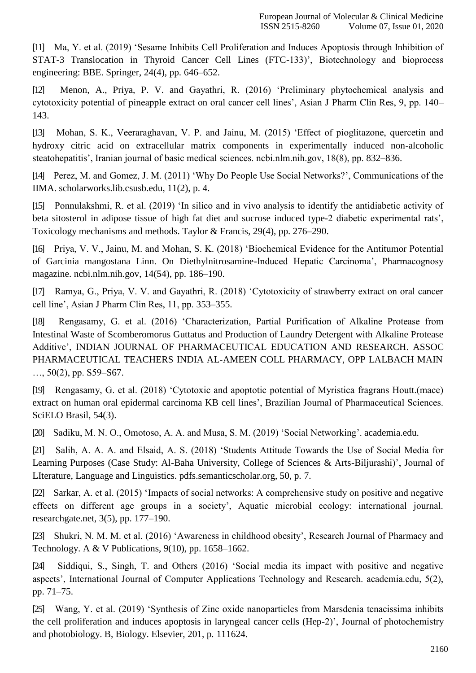[11] [Ma, Y. et al. \(2019\) 'Sesame Inhibits Cell Proliferation and Induces Apoptosis through Inhibition of](http://paperpile.com/b/unGqdE/a71l) [STAT-3 Translocation in Thyroid Cancer Cell Lines \(FTC-133\)', Biotechnology and bioprocess](http://paperpile.com/b/unGqdE/a71l) [engineering: BBE. Springer, 24\(4\), pp.](http://paperpile.com/b/unGqdE/a71l) 646–652.

[12] [Menon, A., Priya, P. V. and Gayathri, R. \(2016\) 'Preliminary phytochemical analysis and](http://paperpile.com/b/unGqdE/cIx1) [cytotoxicity potential of pineapple extract on oral cancer cell lines', Asian J Pharm Clin Res, 9, pp. 140–](http://paperpile.com/b/unGqdE/cIx1) [143.](http://paperpile.com/b/unGqdE/cIx1)

[13] [Mohan, S. K., Veeraraghavan, V. P. and Jainu, M. \(2015\) 'Effect of pioglitazone, quercetin and](http://paperpile.com/b/unGqdE/qIBG) [hydroxy citric acid on extracellular matrix components in experimentally induced non-alcoholic](http://paperpile.com/b/unGqdE/qIBG) [steatohepatitis', Iranian journal of basic medical sciences. ncbi.nlm.nih.gov, 18\(8\), pp.](http://paperpile.com/b/unGqdE/qIBG) 832–836.

[14] [Perez, M. and Gomez, J. M. \(2011\) 'Why Do People Use Social Networks?', Communications of the](http://paperpile.com/b/unGqdE/X6vm) [IIMA. scholarworks.lib.csusb.edu, 11\(2\), p.](http://paperpile.com/b/unGqdE/X6vm) 4.

[15] [Ponnulakshmi, R. et al. \(2019\) 'In silico and in vivo analysis to identify the antidiabetic activity of](http://paperpile.com/b/unGqdE/IXhy) [beta sitosterol in adipose tissue of high fat diet and sucrose induced type-2 diabetic experimental rats',](http://paperpile.com/b/unGqdE/IXhy) [Toxicology mechanisms and methods. Taylor & Francis, 29\(4\), pp.](http://paperpile.com/b/unGqdE/IXhy) 276–290.

[16] [Priya, V. V., Jainu, M. and Mohan, S. K. \(2018\) 'Biochemical Evidence for the Antitumor Potential](http://paperpile.com/b/unGqdE/ZhjD) [of Garcinia mangostana Linn. On Diethylnitrosamine-Induced Hepatic Carcinoma', Pharmacognosy](http://paperpile.com/b/unGqdE/ZhjD) [magazine. ncbi.nlm.nih.gov, 14\(54\), pp.](http://paperpile.com/b/unGqdE/ZhjD) 186–190.

[17] [Ramya, G., Priya, V. V. and Gayathri, R. \(2018\) 'Cytotoxicity of strawberry extract on oral cancer](http://paperpile.com/b/unGqdE/ygAZ) [cell line', Asian J Pharm Clin Res, 11, pp.](http://paperpile.com/b/unGqdE/ygAZ) 353–355.

[18] [Rengasamy, G. et al. \(2016\) 'Characterization, Partial Purification of Alkaline Protease from](http://paperpile.com/b/unGqdE/O2nX) [Intestinal Waste of Scomberomorus Guttatus and Production of Laundry Detergent with Alkaline Protease](http://paperpile.com/b/unGqdE/O2nX) [Additive', INDIAN JOURNAL OF PHARMACEUTICAL EDUCATION AND RESEARCH. ASSOC](http://paperpile.com/b/unGqdE/O2nX) [PHARMACEUTICAL](http://paperpile.com/b/unGqdE/O2nX) TEACHERS INDIA AL-AMEEN COLL PHARMACY, OPP LALBACH MAIN […, 50\(2\), pp. S59–S67.](http://paperpile.com/b/unGqdE/O2nX)

[19] [Rengasamy, G. et al. \(2018\) 'Cytotoxic and apoptotic potential of Myristica fragrans Houtt.\(mace\)](http://paperpile.com/b/unGqdE/PNO5) [extract on human oral epidermal carcinoma KB cell lines', Brazilian Journal of Pharmaceutical Sciences.](http://paperpile.com/b/unGqdE/PNO5) [SciELO Brasil, 54\(3\).](http://paperpile.com/b/unGqdE/PNO5)

[20] [Sadiku, M. N. O., Omotoso, A. A. and Musa, S. M. \(2019\) 'Social Networking'.](http://paperpile.com/b/unGqdE/HZ2m) academia.edu.

[21] [Salih, A. A. A. and Elsaid, A. S. \(2018\) 'Students Attitude Towards the Use of Social Media for](http://paperpile.com/b/unGqdE/Hc7C) [Learning Purposes \(Case Study: Al-Baha University, College of Sciences & Arts-Biljurashi\)', Journal of](http://paperpile.com/b/unGqdE/Hc7C) [LIterature, Language and Linguistics. pdfs.semanticscholar.org, 50, p.](http://paperpile.com/b/unGqdE/Hc7C) 7.

[22] [Sarkar, A. et al. \(2015\) 'Impacts of social networks: A comprehensive study on positive and negative](http://paperpile.com/b/unGqdE/4Ye8) [effects on different age groups in a society', Aquatic microbial ecology: international journal.](http://paperpile.com/b/unGqdE/4Ye8) [researchgate.net, 3\(5\), pp.](http://paperpile.com/b/unGqdE/4Ye8) 177–190.

[23] [Shukri, N. M. M. et al. \(2016\) 'Awareness in childhood obesity', Research Journal of Pharmacy and](http://paperpile.com/b/unGqdE/3yrg) Technology. A  $&$  V Publications, 9(10), pp. 1658–1662.

[24] [Siddiqui, S., Singh, T. and Others \(2016\) 'Social media its impact with positive and negative](http://paperpile.com/b/unGqdE/0UwR) [aspects', International Journal of Computer Applications Technology and Research. academia.edu, 5\(2\),](http://paperpile.com/b/unGqdE/0UwR) [pp. 71–75.](http://paperpile.com/b/unGqdE/0UwR)

[25] [Wang, Y. et al. \(2019\) 'Synthesis of Zinc oxide nanoparticles from Marsdenia tenacissima inhibits](http://paperpile.com/b/unGqdE/d9DS) [the cell proliferation and induces apoptosis in laryngeal cancer cells \(Hep-2\)', Journal of photochemistry](http://paperpile.com/b/unGqdE/d9DS) [and photobiology. B, Biology. Elsevier, 201, p.](http://paperpile.com/b/unGqdE/d9DS) 111624.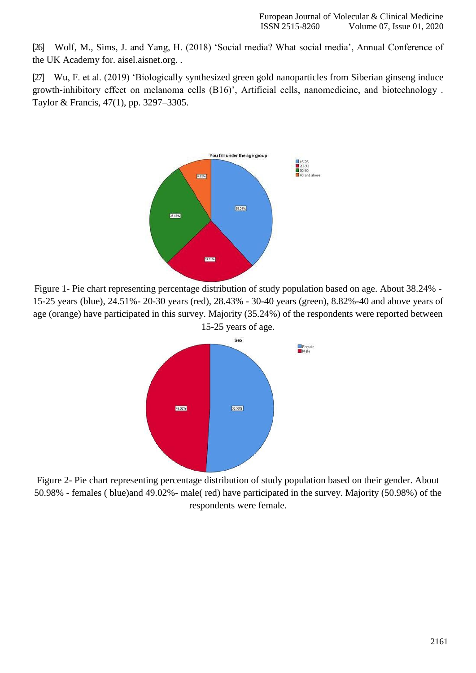[26] [Wolf, M., Sims, J. and Yang, H. \(2018\) 'Social media? What social media', Annual Conference of](http://paperpile.com/b/unGqdE/fJvM) [the UK Academy for. aisel.aisnet.org.](http://paperpile.com/b/unGqdE/fJvM) .

[27] [Wu, F. et al. \(2019\) 'Biologically synthesized green gold nanoparticles from Siberian ginseng induce](http://paperpile.com/b/unGqdE/Ya7w) [growth-inhibitory effect on melanoma cells \(B16\)', Artificial cells, nanomedicine, and biotechnology .](http://paperpile.com/b/unGqdE/Ya7w) [Taylor & Francis, 47\(1\), pp. 3297–3305.](http://paperpile.com/b/unGqdE/Ya7w)



Figure 1- Pie chart representing percentage distribution of study population based on age. About 38.24% - 15-25 years (blue), 24.51%- 20-30 years (red), 28.43% - 30-40 years (green), 8.82%-40 and above years of age (orange) have participated in this survey. Majority (35.24%) of the respondents were reported between 15-25 years of age.



Figure 2- Pie chart representing percentage distribution of study population based on their gender. About 50.98% - females ( blue)and 49.02%- male( red) have participated in the survey. Majority (50.98%) of the respondents were female.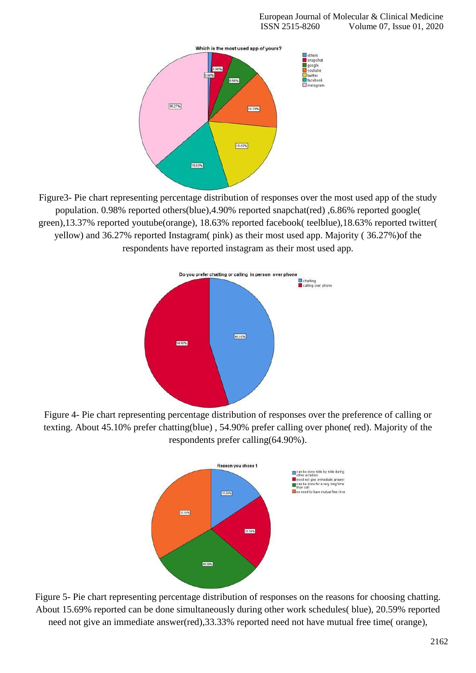

Figure3- Pie chart representing percentage distribution of responses over the most used app of the study population. 0.98% reported others(blue),4.90% reported snapchat(red) ,6.86% reported google( green),13.37% reported youtube(orange), 18.63% reported facebook( teelblue),18.63% reported twitter( yellow) and 36.27% reported Instagram( pink) as their most used app. Majority ( 36.27%)of the respondents have reported instagram as their most used app.



Figure 4- Pie chart representing percentage distribution of responses over the preference of calling or texting. About 45.10% prefer chatting(blue) , 54.90% prefer calling over phone( red). Majority of the respondents prefer calling(64.90%).



Figure 5- Pie chart representing percentage distribution of responses on the reasons for choosing chatting. About 15.69% reported can be done simultaneously during other work schedules( blue), 20.59% reported need not give an immediate answer(red),  $33.33\%$  reported need not have mutual free time( orange),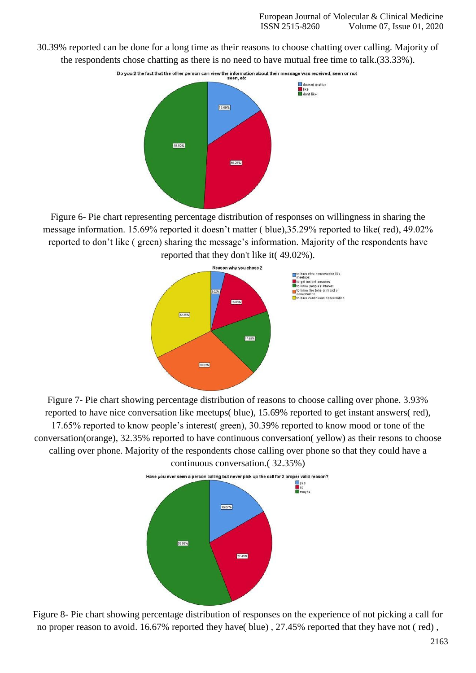30.39% reported can be done for a long time as their reasons to choose chatting over calling. Majority of the respondents chose chatting as there is no need to have mutual free time to talk.(33.33%).



Figure 6- Pie chart representing percentage distribution of responses on willingness in sharing the message information. 15.69% reported it doesn't matter ( blue),35.29% reported to like( red), 49.02% reported to don't like ( green) sharing the message's information. Majority of the respondents have reported that they don't like it( 49.02%).



Figure 7- Pie chart showing percentage distribution of reasons to choose calling over phone. 3.93% reported to have nice conversation like meetups( blue), 15.69% reported to get instant answers( red), 17.65% reported to know people's interest( green), 30.39% reported to know mood or tone of the conversation(orange), 32.35% reported to have continuous conversation( yellow) as their resons to choose calling over phone. Majority of the respondents chose calling over phone so that they could have a continuous conversation.( 32.35%)



Figure 8- Pie chart showing percentage distribution of responses on the experience of not picking a call for no proper reason to avoid. 16.67% reported they have( blue), 27.45% reported that they have not ( red),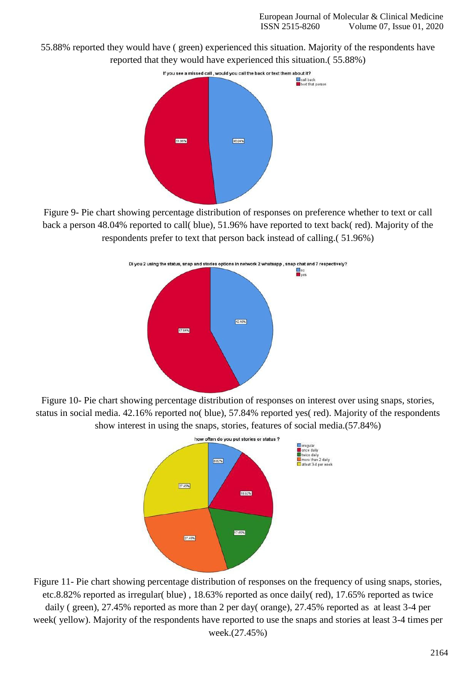55.88% reported they would have ( green) experienced this situation. Majority of the respondents have reported that they would have experienced this situation.( 55.88%)



Figure 9- Pie chart showing percentage distribution of responses on preference whether to text or call back a person 48.04% reported to call( blue), 51.96% have reported to text back( red). Majority of the respondents prefer to text that person back instead of calling.( 51.96%)



Figure 10- Pie chart showing percentage distribution of responses on interest over using snaps, stories, status in social media. 42.16% reported no( blue), 57.84% reported yes( red). Majority of the respondents show interest in using the snaps, stories, features of social media.(57.84%)



Figure 11- Pie chart showing percentage distribution of responses on the frequency of using snaps, stories, etc.8.82% reported as irregular( blue) , 18.63% reported as once daily( red), 17.65% reported as twice daily ( green), 27.45% reported as more than 2 per day( orange), 27.45% reported as at least 3-4 per week( yellow). Majority of the respondents have reported to use the snaps and stories at least 3-4 times per week.(27.45%)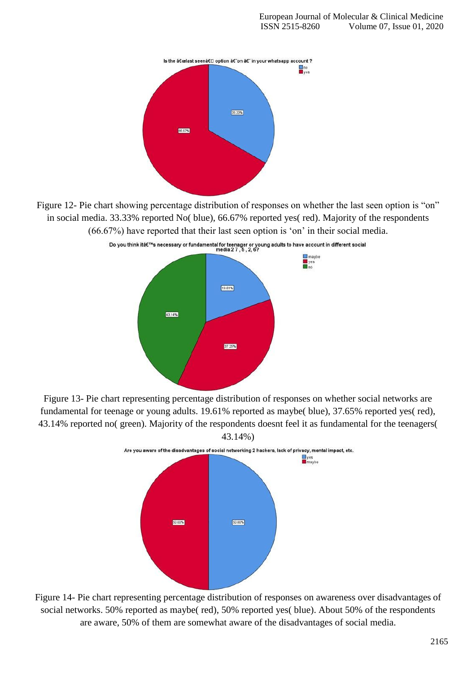

Figure 12- Pie chart showing percentage distribution of responses on whether the last seen option is "on" in social media. 33.33% reported No( blue), 66.67% reported yes( red). Majority of the respondents (66.67%) have reported that their last seen option is 'on' in their social media.



Do you think it's necessary or fundamental for teenager or young adults to have account in different social<br>media 27.5.2.6?

Figure 13- Pie chart representing percentage distribution of responses on whether social networks are fundamental for teenage or young adults. 19.61% reported as maybe( blue), 37.65% reported yes( red), 43.14% reported no( green). Majority of the respondents doesnt feel it as fundamental for the teenagers( 43.14%)



Figure 14- Pie chart representing percentage distribution of responses on awareness over disadvantages of social networks. 50% reported as maybe( red), 50% reported yes( blue). About 50% of the respondents are aware, 50% of them are somewhat aware of the disadvantages of social media.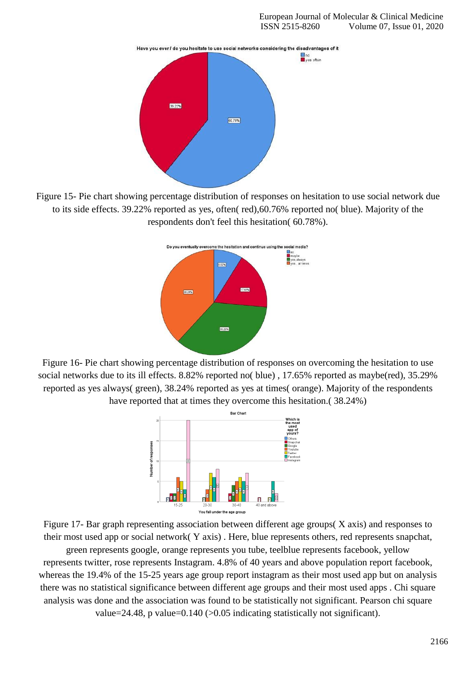

Figure 15- Pie chart showing percentage distribution of responses on hesitation to use social network due to its side effects. 39.22% reported as yes, often( red),60.76% reported no( blue). Majority of the respondents don't feel this hesitation( 60.78%).



Figure 16- Pie chart showing percentage distribution of responses on overcoming the hesitation to use social networks due to its ill effects. 8.82% reported no( blue) , 17.65% reported as maybe(red), 35.29% reported as yes always( green), 38.24% reported as yes at times( orange). Majority of the respondents have reported that at times they overcome this hesitation.( 38.24%)



Figure 17- Bar graph representing association between different age groups( X axis) and responses to their most used app or social network( Y axis) . Here, blue represents others, red represents snapchat,

green represents google, orange represents you tube, teelblue represents facebook, yellow represents twitter, rose represents Instagram. 4.8% of 40 years and above population report facebook, whereas the 19.4% of the 15-25 years age group report instagram as their most used app but on analysis there was no statistical significance between different age groups and their most used apps . Chi square analysis was done and the association was found to be statistically not significant. Pearson chi square value=24.48, p value=0.140 (>0.05 indicating statistically not significant).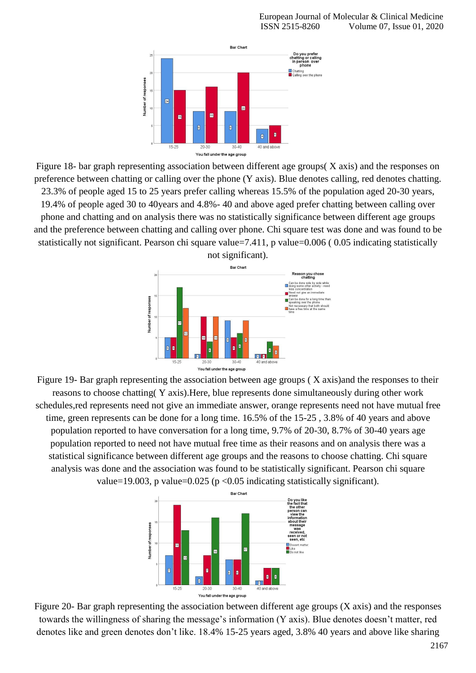

Figure 18- bar graph representing association between different age groups( X axis) and the responses on preference between chatting or calling over the phone (Y axis). Blue denotes calling, red denotes chatting. 23.3% of people aged 15 to 25 years prefer calling whereas 15.5% of the population aged 20-30 years, 19.4% of people aged 30 to 40years and 4.8%- 40 and above aged prefer chatting between calling over phone and chatting and on analysis there was no statistically significance between different age groups and the preference between chatting and calling over phone. Chi square test was done and was found to be statistically not significant. Pearson chi square value=7.411, p value=0.006 ( 0.05 indicating statistically



Figure 19- Bar graph representing the association between age groups ( X axis)and the responses to their reasons to choose chatting( Y axis).Here, blue represents done simultaneously during other work schedules,red represents need not give an immediate answer, orange represents need not have mutual free time, green represents can be done for a long time. 16.5% of the 15-25 , 3.8% of 40 years and above population reported to have conversation for a long time, 9.7% of 20-30, 8.7% of 30-40 years age population reported to need not have mutual free time as their reasons and on analysis there was a statistical significance between different age groups and the reasons to choose chatting. Chi square analysis was done and the association was found to be statistically significant. Pearson chi square value=19.003, p value=0.025 (p <0.05 indicating statistically significant).



Figure 20- Bar graph representing the association between different age groups (X axis) and the responses towards the willingness of sharing the message's information (Y axis). Blue denotes doesn't matter, red denotes like and green denotes don't like. 18.4% 15-25 years aged, 3.8% 40 years and above like sharing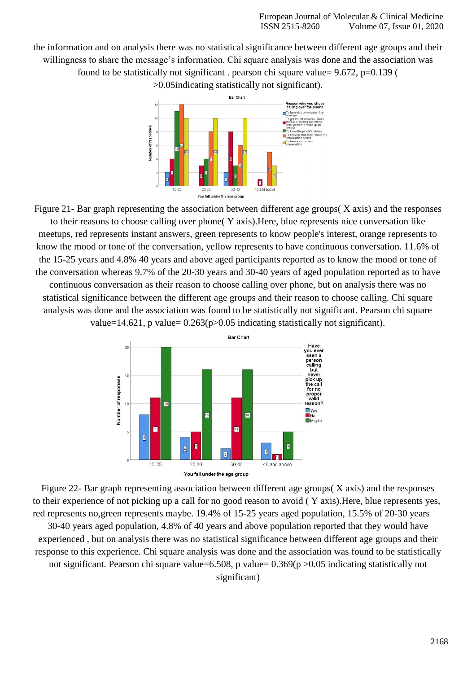the information and on analysis there was no statistical significance between different age groups and their willingness to share the message's information. Chi square analysis was done and the association was found to be statistically not significant . pearson chi square value= 9.672, p=0.139 (

>0.05indicating statistically not significant).



Figure 21- Bar graph representing the association between different age groups( X axis) and the responses to their reasons to choose calling over phone( Y axis).Here, blue represents nice conversation like meetups, red represents instant answers, green represents to know people's interest, orange represents to know the mood or tone of the conversation, yellow represents to have continuous conversation. 11.6% of the 15-25 years and 4.8% 40 years and above aged participants reported as to know the mood or tone of the conversation whereas 9.7% of the 20-30 years and 30-40 years of aged population reported as to have continuous conversation as their reason to choose calling over phone, but on analysis there was no statistical significance between the different age groups and their reason to choose calling. Chi square analysis was done and the association was found to be statistically not significant. Pearson chi square

value=14.621, p value=  $0.263(p>0.05)$  indicating statistically not significant).



Figure 22- Bar graph representing association between different age groups( X axis) and the responses to their experience of not picking up a call for no good reason to avoid ( Y axis).Here, blue represents yes, red represents no,green represents maybe. 19.4% of 15-25 years aged population, 15.5% of 20-30 years

30-40 years aged population, 4.8% of 40 years and above population reported that they would have experienced , but on analysis there was no statistical significance between different age groups and their response to this experience. Chi square analysis was done and the association was found to be statistically not significant. Pearson chi square value=6.508, p value=0.369(p >0.05 indicating statistically not significant)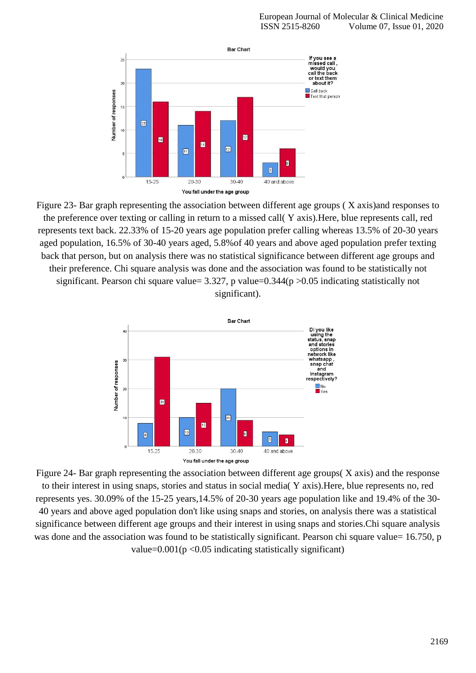

Figure 23- Bar graph representing the association between different age groups ( X axis)and responses to the preference over texting or calling in return to a missed call( Y axis).Here, blue represents call, red represents text back. 22.33% of 15-20 years age population prefer calling whereas 13.5% of 20-30 years aged population, 16.5% of 30-40 years aged, 5.8%of 40 years and above aged population prefer texting back that person, but on analysis there was no statistical significance between different age groups and their preference. Chi square analysis was done and the association was found to be statistically not significant. Pearson chi square value=  $3.327$ , p value= $0.344(p > 0.05$  indicating statistically not significant).



Figure 24- Bar graph representing the association between different age groups( X axis) and the response to their interest in using snaps, stories and status in social media( Y axis).Here, blue represents no, red represents yes. 30.09% of the 15-25 years,14.5% of 20-30 years age population like and 19.4% of the 30- 40 years and above aged population don't like using snaps and stories, on analysis there was a statistical significance between different age groups and their interest in using snaps and stories.Chi square analysis was done and the association was found to be statistically significant. Pearson chi square value= 16.750, p value= $0.001(p \le 0.05)$  indicating statistically significant)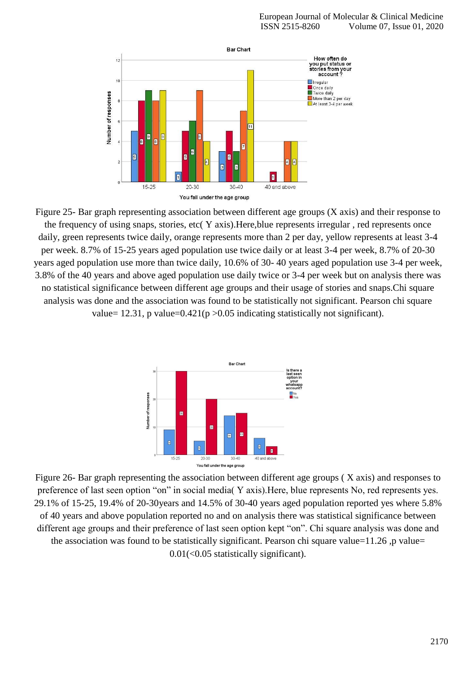

Figure 25- Bar graph representing association between different age groups (X axis) and their response to the frequency of using snaps, stories, etc( Y axis).Here,blue represents irregular , red represents once daily, green represents twice daily, orange represents more than 2 per day, yellow represents at least 3-4 per week. 8.7% of 15-25 years aged population use twice daily or at least 3-4 per week, 8.7% of 20-30 years aged population use more than twice daily, 10.6% of 30- 40 years aged population use 3-4 per week, 3.8% of the 40 years and above aged population use daily twice or 3-4 per week but on analysis there was no statistical significance between different age groups and their usage of stories and snaps.Chi square analysis was done and the association was found to be statistically not significant. Pearson chi square value= 12.31, p value= $0.421(p > 0.05$  indicating statistically not significant).



Figure 26- Bar graph representing the association between different age groups ( X axis) and responses to preference of last seen option "on" in social media( Y axis).Here, blue represents No, red represents yes. 29.1% of 15-25, 19.4% of 20-30years and 14.5% of 30-40 years aged population reported yes where 5.8% of 40 years and above population reported no and on analysis there was statistical significance between different age groups and their preference of last seen option kept "on". Chi square analysis was done and the association was found to be statistically significant. Pearson chi square value=11.26 ,p value= 0.01(<0.05 statistically significant).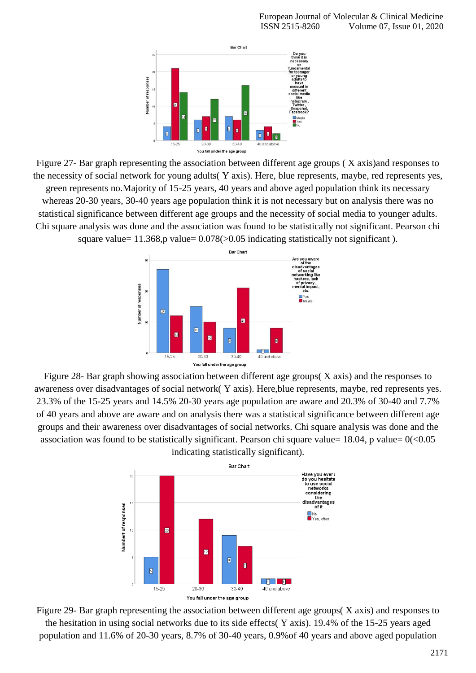

Figure 27- Bar graph representing the association between different age groups ( X axis)and responses to the necessity of social network for young adults( Y axis). Here, blue represents, maybe, red represents yes, green represents no.Majority of 15-25 years, 40 years and above aged population think its necessary whereas 20-30 years, 30-40 years age population think it is not necessary but on analysis there was no statistical significance between different age groups and the necessity of social media to younger adults. Chi square analysis was done and the association was found to be statistically not significant. Pearson chi square value=  $11.368$ ,p value=  $0.078$ ( $> 0.05$  indicating statistically not significant).



Figure 28- Bar graph showing association between different age groups( X axis) and the responses to awareness over disadvantages of social network( Y axis). Here,blue represents, maybe, red represents yes. 23.3% of the 15-25 years and 14.5% 20-30 years age population are aware and 20.3% of 30-40 and 7.7% of 40 years and above are aware and on analysis there was a statistical significance between different age groups and their awareness over disadvantages of social networks. Chi square analysis was done and the association was found to be statistically significant. Pearson chi square value=  $18.04$ , p value=  $0 \le 0.05$ indicating statistically significant).



Figure 29- Bar graph representing the association between different age groups( X axis) and responses to the hesitation in using social networks due to its side effects( Y axis). 19.4% of the 15-25 years aged population and 11.6% of 20-30 years, 8.7% of 30-40 years, 0.9%of 40 years and above aged population